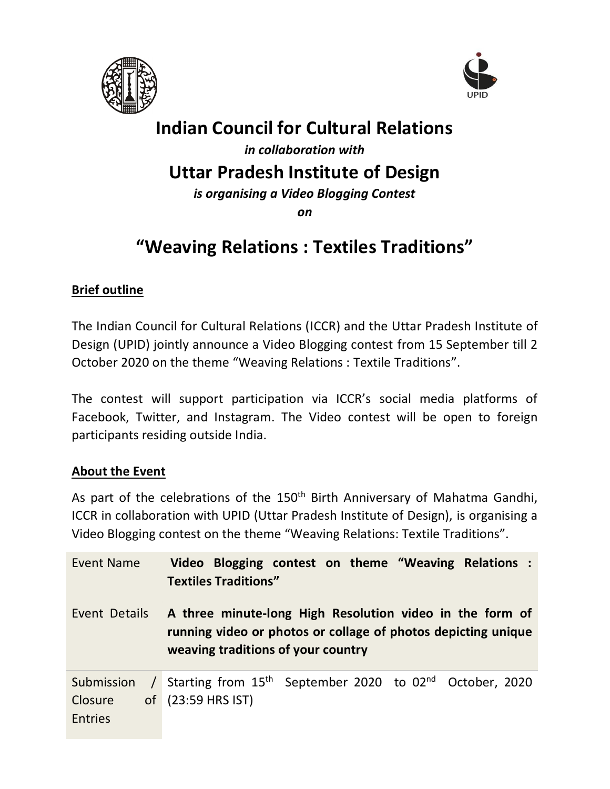



# **Indian Council for Cultural Relations**

*in collaboration with*

### **Uttar Pradesh Institute of Design**

*is organising a Video Blogging Contest*

*on*

# **"Weaving Relations : Textiles Traditions"**

### **Brief outline**

The Indian Council for Cultural Relations (ICCR) and the Uttar Pradesh Institute of Design (UPID) jointly announce a Video Blogging contest from 15 September till 2 October 2020 on the theme "Weaving Relations : Textile Traditions".

The contest will support participation via ICCR's social media platforms of Facebook, Twitter, and Instagram. The Video contest will be open to foreign participants residing outside India.

#### **About the Event**

As part of the celebrations of the 150<sup>th</sup> Birth Anniversary of Mahatma Gandhi, ICCR in collaboration with UPID (Uttar Pradesh Institute of Design), is organising a Video Blogging contest on the theme "Weaving Relations: Textile Traditions".

| Event Name                              | Video Blogging contest on theme "Weaving Relations :<br><b>Textiles Traditions"</b>                                                                             |
|-----------------------------------------|-----------------------------------------------------------------------------------------------------------------------------------------------------------------|
| Event Details                           | A three minute-long High Resolution video in the form of<br>running video or photos or collage of photos depicting unique<br>weaving traditions of your country |
| Submission<br>Closure<br><b>Entries</b> | $\frac{1}{2}$ Starting from 15 <sup>th</sup> September 2020 to 02 <sup>nd</sup> October, 2020<br>$\sigma$ of (23:59 HRS IST)                                    |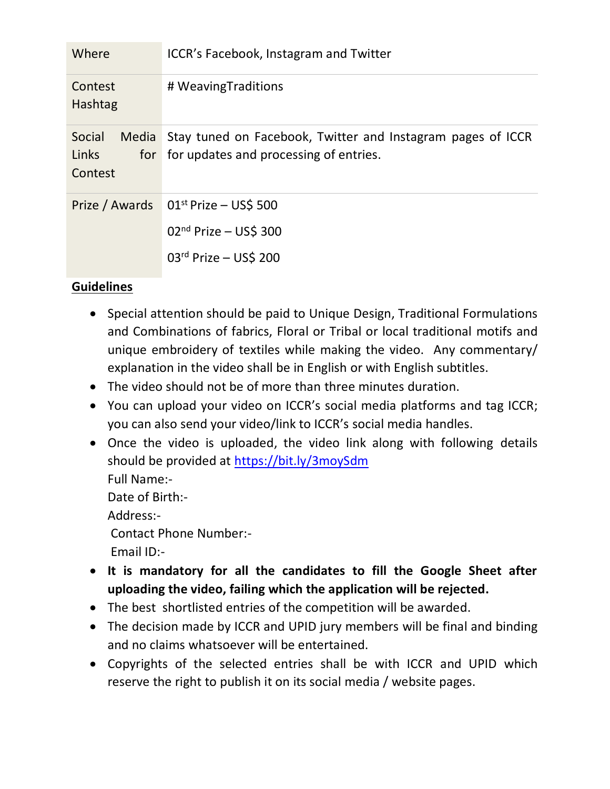| Where                                      | ICCR's Facebook, Instagram and Twitter                                                                |
|--------------------------------------------|-------------------------------------------------------------------------------------------------------|
| Contest<br>Hashtag                         | # WeavingTraditions                                                                                   |
| Social<br>Media<br>Links<br>for<br>Contest | Stay tuned on Facebook, Twitter and Instagram pages of ICCR<br>for updates and processing of entries. |
| Prize / Awards                             | $01st$ Prize - US\$ 500<br>$02nd$ Prize - US\$ 300<br>$03rd$ Prize - US\$ 200                         |

### **Guidelines**

- Special attention should be paid to Unique Design, Traditional Formulations and Combinations of fabrics, Floral or Tribal or local traditional motifs and unique embroidery of textiles while making the video. Any commentary/ explanation in the video shall be in English or with English subtitles.
- The video should not be of more than three minutes duration.
- You can upload your video on ICCR's social media platforms and tag ICCR; you can also send your video/link to ICCR's social media handles.
- Once the video is uploaded, the video link along with following details should be provided at<https://bit.ly/3moySdm> Full Name:- Date of Birth:- Address:- Contact Phone Number:- Email ID:-
- **It is mandatory for all the candidates to fill the Google Sheet after uploading the video, failing which the application will be rejected.**
- The best shortlisted entries of the competition will be awarded.
- The decision made by ICCR and UPID jury members will be final and binding and no claims whatsoever will be entertained.
- Copyrights of the selected entries shall be with ICCR and UPID which reserve the right to publish it on its social media / website pages.